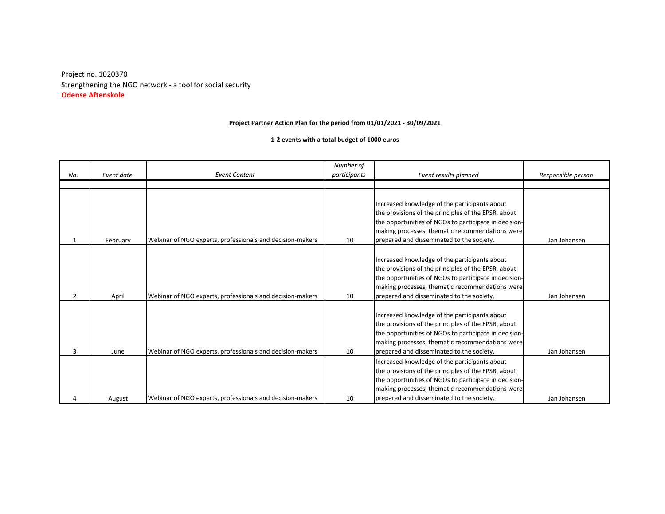**Odense Aftenskole** Strengthening the NGO network - a tool for social security Project no. 1020370

## **Project Partner Action Plan for the period from 01/01/2021 - 30/09/2021**

**1-2 events with a total budget of 1000 euros**

| No. | Event date | <b>Event Content</b>                                      | Number of<br>participants | Event results planned                                 |                    |
|-----|------------|-----------------------------------------------------------|---------------------------|-------------------------------------------------------|--------------------|
|     |            |                                                           |                           |                                                       | Responsible person |
|     |            |                                                           |                           |                                                       |                    |
|     |            |                                                           |                           |                                                       |                    |
|     |            |                                                           |                           | Increased knowledge of the participants about         |                    |
|     |            |                                                           |                           | the provisions of the principles of the EPSR, about   |                    |
|     |            |                                                           |                           | the opportunities of NGOs to participate in decision- |                    |
|     |            |                                                           |                           | making processes, thematic recommendations were       |                    |
| 1   | February   | Webinar of NGO experts, professionals and decision-makers | 10                        | prepared and disseminated to the society.             | Jan Johansen       |
|     |            |                                                           |                           |                                                       |                    |
|     |            |                                                           |                           | Increased knowledge of the participants about         |                    |
|     |            |                                                           |                           | the provisions of the principles of the EPSR, about   |                    |
|     |            |                                                           |                           | the opportunities of NGOs to participate in decision- |                    |
|     |            |                                                           |                           | making processes, thematic recommendations were       |                    |
| 2   | April      | Webinar of NGO experts, professionals and decision-makers | 10                        | prepared and disseminated to the society.             | Jan Johansen       |
|     |            |                                                           |                           |                                                       |                    |
|     |            |                                                           |                           | Increased knowledge of the participants about         |                    |
|     |            |                                                           |                           | the provisions of the principles of the EPSR, about   |                    |
|     |            |                                                           |                           | the opportunities of NGOs to participate in decision- |                    |
|     |            |                                                           |                           | making processes, thematic recommendations were       |                    |
| 3   | June       | Webinar of NGO experts, professionals and decision-makers | 10                        | prepared and disseminated to the society.             | Jan Johansen       |
|     |            |                                                           |                           | Increased knowledge of the participants about         |                    |
|     |            |                                                           |                           | the provisions of the principles of the EPSR, about   |                    |
|     |            |                                                           |                           | the opportunities of NGOs to participate in decision- |                    |
|     |            |                                                           |                           | making processes, thematic recommendations were       |                    |
|     | August     | Webinar of NGO experts, professionals and decision-makers | 10                        | prepared and disseminated to the society.             | Jan Johansen       |